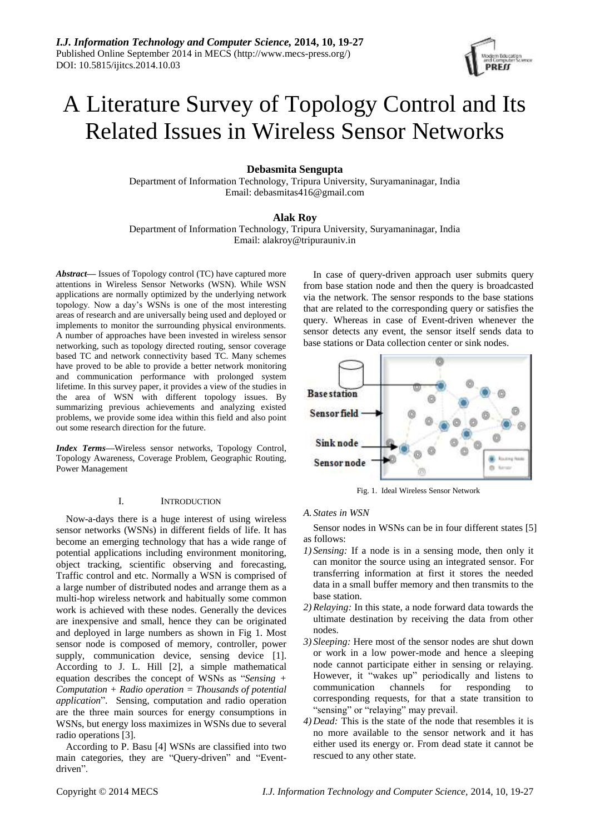

# A Literature Survey of Topology Control and Its Related Issues in Wireless Sensor Networks

## **Debasmita Sengupta**

Department of Information Technology, Tripura University, Suryamaninagar, India Email: debasmitas416@gmail.com

## **Alak Roy**

Department of Information Technology, Tripura University, Suryamaninagar, India Email: alakroy@tripurauniv.in

*Abstract***—** Issues of Topology control (TC) have captured more attentions in Wireless Sensor Networks (WSN). While WSN applications are normally optimized by the underlying network topology. Now a day's WSNs is one of the most interesting areas of research and are universally being used and deployed or implements to monitor the surrounding physical environments. A number of approaches have been invested in wireless sensor networking, such as topology directed routing, sensor coverage based TC and network connectivity based TC. Many schemes have proved to be able to provide a better network monitoring and communication performance with prolonged system lifetime. In this survey paper, it provides a view of the studies in the area of WSN with different topology issues. By summarizing previous achievements and analyzing existed problems, we provide some idea within this field and also point out some research direction for the future.

*Index Terms***—**Wireless sensor networks, Topology Control, Topology Awareness, Coverage Problem, Geographic Routing, Power Management

## I. INTRODUCTION

Now-a-days there is a huge interest of using wireless sensor networks (WSNs) in different fields of life. It has become an emerging technology that has a wide range of potential applications including environment monitoring, object tracking, scientific observing and forecasting, Traffic control and etc. Normally a WSN is comprised of a large number of distributed nodes and arrange them as a multi-hop wireless network and habitually some common work is achieved with these nodes. Generally the devices are inexpensive and small, hence they can be originated and deployed in large numbers as shown in Fig 1. Most sensor node is composed of memory, controller, power supply, communication device, sensing device [1]. According to J. L. Hill [2], a simple mathematical equation describes the concept of WSNs as "*Sensing + Computation + Radio operation = Thousands of potential application*". Sensing, computation and radio operation are the three main sources for energy consumptions in WSNs, but energy loss maximizes in WSNs due to several radio operations [3].

According to P. Basu [4] WSNs are classified into two main categories, they are "Query-driven" and "Eventdriven".

In case of query-driven approach user submits query from base station node and then the query is broadcasted via the network. The sensor responds to the base stations that are related to the corresponding query or satisfies the query. Whereas in case of Event-driven whenever the sensor detects any event, the sensor itself sends data to base stations or Data collection center or sink nodes.



Fig. 1. Ideal Wireless Sensor Network

## *A. States in WSN*

Sensor nodes in WSNs can be in four different states [5] as follows:

- *1) Sensing:* If a node is in a sensing mode, then only it can monitor the source using an integrated sensor. For transferring information at first it stores the needed data in a small buffer memory and then transmits to the base station.
- *2) Relaying:* In this state, a node forward data towards the ultimate destination by receiving the data from other nodes.
- *3) Sleeping:* Here most of the sensor nodes are shut down or work in a low power-mode and hence a sleeping node cannot participate either in sensing or relaying. However, it "wakes up" periodically and listens to communication channels for responding to corresponding requests, for that a state transition to "sensing" or "relaying" may prevail.
- *4) Dead:* This is the state of the node that resembles it is no more available to the sensor network and it has either used its energy or. From dead state it cannot be rescued to any other state.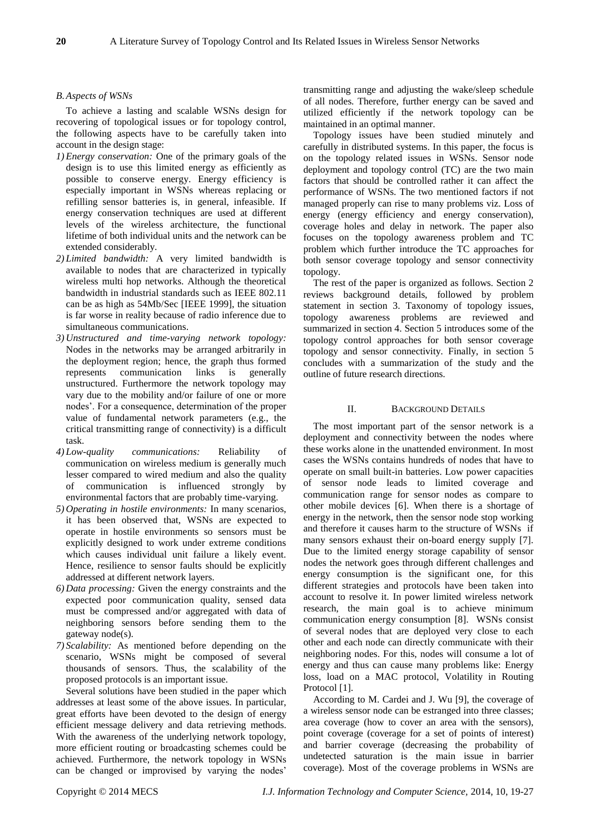## *B.Aspects of WSNs*

To achieve a lasting and scalable WSNs design for recovering of topological issues or for topology control, the following aspects have to be carefully taken into account in the design stage:

- *1) Energy conservation:* One of the primary goals of the design is to use this limited energy as efficiently as possible to conserve energy. Energy efficiency is especially important in WSNs whereas replacing or refilling sensor batteries is, in general, infeasible. If energy conservation techniques are used at different levels of the wireless architecture, the functional lifetime of both individual units and the network can be extended considerably.
- *2) Limited bandwidth:* A very limited bandwidth is available to nodes that are characterized in typically wireless multi hop networks. Although the theoretical bandwidth in industrial standards such as IEEE 802.11 can be as high as 54Mb/Sec [IEEE 1999], the situation is far worse in reality because of radio inference due to simultaneous communications.
- *3) Unstructured and time-varying network topology:*  Nodes in the networks may be arranged arbitrarily in the deployment region; hence, the graph thus formed represents communication links is generally unstructured. Furthermore the network topology may vary due to the mobility and/or failure of one or more nodes'. For a consequence, determination of the proper value of fundamental network parameters (e.g., the critical transmitting range of connectivity) is a difficult task.
- *4) Low-quality communications:* Reliability of communication on wireless medium is generally much lesser compared to wired medium and also the quality of communication is influenced strongly by environmental factors that are probably time-varying.
- *5) Operating in hostile environments:* In many scenarios, it has been observed that, WSNs are expected to operate in hostile environments so sensors must be explicitly designed to work under extreme conditions which causes individual unit failure a likely event. Hence, resilience to sensor faults should be explicitly addressed at different network layers.
- *6) Data processing:* Given the energy constraints and the expected poor communication quality, sensed data must be compressed and/or aggregated with data of neighboring sensors before sending them to the gateway node(s).
- *7) Scalability:* As mentioned before depending on the scenario, WSNs might be composed of several thousands of sensors. Thus, the scalability of the proposed protocols is an important issue.

Several solutions have been studied in the paper which addresses at least some of the above issues. In particular, great efforts have been devoted to the design of energy efficient message delivery and data retrieving methods. With the awareness of the underlying network topology, more efficient routing or broadcasting schemes could be achieved. Furthermore, the network topology in WSNs can be changed or improvised by varying the nodes'

transmitting range and adjusting the wake/sleep schedule of all nodes. Therefore, further energy can be saved and utilized efficiently if the network topology can be maintained in an optimal manner.

Topology issues have been studied minutely and carefully in distributed systems. In this paper, the focus is on the topology related issues in WSNs. Sensor node deployment and topology control (TC) are the two main factors that should be controlled rather it can affect the performance of WSNs. The two mentioned factors if not managed properly can rise to many problems viz. Loss of energy (energy efficiency and energy conservation), coverage holes and delay in network. The paper also focuses on the topology awareness problem and TC problem which further introduce the TC approaches for both sensor coverage topology and sensor connectivity topology.

The rest of the paper is organized as follows. Section 2 reviews background details, followed by problem statement in section 3. Taxonomy of topology issues, topology awareness problems are reviewed and summarized in section 4. Section 5 introduces some of the topology control approaches for both sensor coverage topology and sensor connectivity. Finally, in section 5 concludes with a summarization of the study and the outline of future research directions.

## II. BACKGROUND DETAILS

The most important part of the sensor network is a deployment and connectivity between the nodes where these works alone in the unattended environment. In most cases the WSNs contains hundreds of nodes that have to operate on small built-in batteries. Low power capacities of sensor node leads to limited coverage and communication range for sensor nodes as compare to other mobile devices [6]. When there is a shortage of energy in the network, then the sensor node stop working and therefore it causes harm to the structure of WSNs if many sensors exhaust their on-board energy supply [7]. Due to the limited energy storage capability of sensor nodes the network goes through different challenges and energy consumption is the significant one, for this different strategies and protocols have been taken into account to resolve it. In power limited wireless network research, the main goal is to achieve minimum communication energy consumption [8]. WSNs consist of several nodes that are deployed very close to each other and each node can directly communicate with their neighboring nodes. For this, nodes will consume a lot of energy and thus can cause many problems like: Energy loss, load on a MAC protocol, Volatility in Routing Protocol [1]*.*

According to M. Cardei and J. Wu [9], the coverage of a wireless sensor node can be estranged into three classes; area coverage (how to cover an area with the sensors), point coverage (coverage for a set of points of interest) and barrier coverage (decreasing the probability of undetected saturation is the main issue in barrier coverage). Most of the coverage problems in WSNs are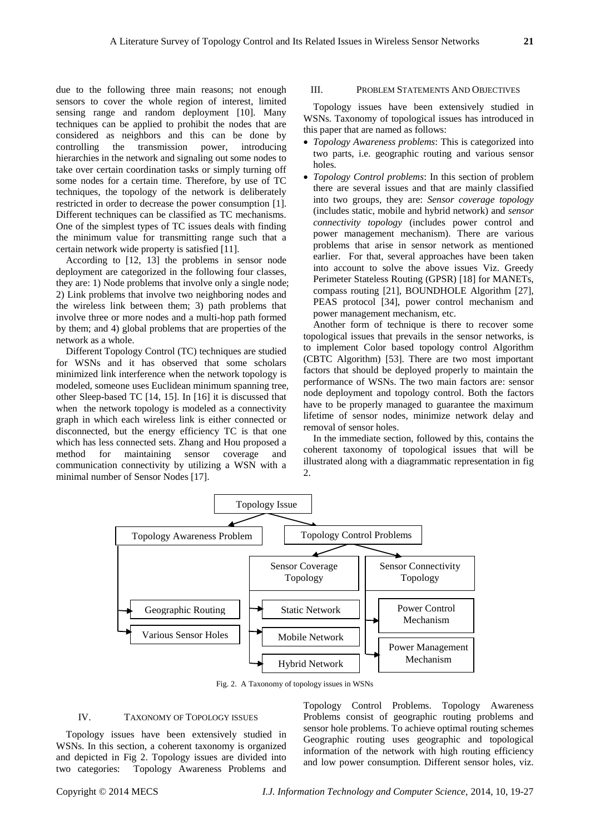due to the following three main reasons; not enough sensors to cover the whole region of interest, limited sensing range and random deployment [10]. Many techniques can be applied to prohibit the nodes that are considered as neighbors and this can be done by controlling the transmission power, introducing hierarchies in the network and signaling out some nodes to take over certain coordination tasks or simply turning off some nodes for a certain time. Therefore, by use of TC techniques, the topology of the network is deliberately restricted in order to decrease the power consumption [1]. Different techniques can be classified as TC mechanisms. One of the simplest types of TC issues deals with finding the minimum value for transmitting range such that a certain network wide property is satisfied [11].

According to [12, 13] the problems in sensor node deployment are categorized in the following four classes, they are: 1) Node problems that involve only a single node; 2) Link problems that involve two neighboring nodes and the wireless link between them; 3) path problems that involve three or more nodes and a multi-hop path formed by them; and 4) global problems that are properties of the network as a whole.

Different Topology Control (TC) techniques are studied for WSNs and it has observed that some scholars minimized link interference when the network topology is modeled, someone uses Euclidean minimum spanning tree, other Sleep-based TC [14, 15]. In [16] it is discussed that when the network topology is modeled as a connectivity graph in which each wireless link is either connected or disconnected, but the energy efficiency TC is that one which has less connected sets. Zhang and Hou proposed a method for maintaining sensor coverage and communication connectivity by utilizing a WSN with a minimal number of Sensor Nodes [17].

## III. PROBLEM STATEMENTS AND OBJECTIVES

Topology issues have been extensively studied in WSNs. Taxonomy of topological issues has introduced in this paper that are named as follows:

- *Topology Awareness problems*: This is categorized into two parts, i.e. geographic routing and various sensor holes.
- *Topology Control problems*: In this section of problem there are several issues and that are mainly classified into two groups, they are: *Sensor coverage topology* (includes static, mobile and hybrid network) and *sensor connectivity topology* (includes power control and power management mechanism). There are various problems that arise in sensor network as mentioned earlier. For that, several approaches have been taken into account to solve the above issues Viz. Greedy Perimeter Stateless Routing (GPSR) [18] for MANETs, compass routing [21], BOUNDHOLE Algorithm [27], PEAS protocol [34], power control mechanism and power management mechanism, etc.

Another form of technique is there to recover some topological issues that prevails in the sensor networks, is to implement Color based topology control Algorithm (CBTC Algorithm) [53]. There are two most important factors that should be deployed properly to maintain the performance of WSNs. The two main factors are: sensor node deployment and topology control. Both the factors have to be properly managed to guarantee the maximum lifetime of sensor nodes, minimize network delay and removal of sensor holes.

In the immediate section, followed by this, contains the coherent taxonomy of topological issues that will be illustrated along with a diagrammatic representation in fig 2.



Fig. 2. A Taxonomy of topology issues in WSNs

#### IV. TAXONOMY OF TOPOLOGY ISSUES

Topology issues have been extensively studied in WSNs. In this section, a coherent taxonomy is organized and depicted in Fig 2. Topology issues are divided into two categories: Topology Awareness Problems and

Topology Control Problems. Topology Awareness Problems consist of geographic routing problems and sensor hole problems. To achieve optimal routing schemes Geographic routing uses geographic and topological information of the network with high routing efficiency and low power consumption. Different sensor holes, viz.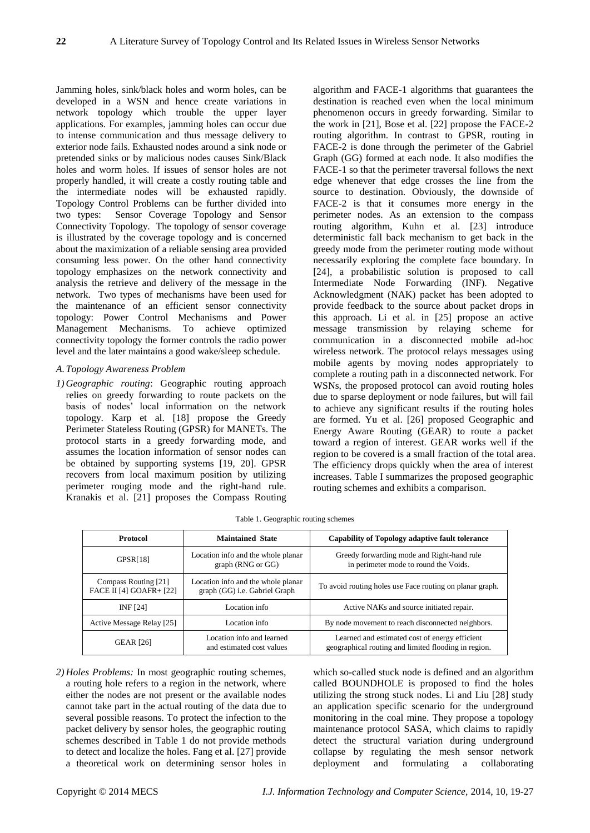Jamming holes, sink/black holes and worm holes, can be developed in a WSN and hence create variations in network topology which trouble the upper layer applications. For examples, jamming holes can occur due to intense communication and thus message delivery to exterior node fails. Exhausted nodes around a sink node or pretended sinks or by malicious nodes causes Sink/Black holes and worm holes. If issues of sensor holes are not properly handled, it will create a costly routing table and the intermediate nodes will be exhausted rapidly. Topology Control Problems can be further divided into two types: Sensor Coverage Topology and Sensor Connectivity Topology. The topology of sensor coverage is illustrated by the coverage topology and is concerned about the maximization of a reliable sensing area provided consuming less power. On the other hand connectivity topology emphasizes on the network connectivity and analysis the retrieve and delivery of the message in the network. Two types of mechanisms have been used for the maintenance of an efficient sensor connectivity topology: Power Control Mechanisms and Power Management Mechanisms. To achieve optimized connectivity topology the former controls the radio power level and the later maintains a good wake/sleep schedule.

## *A.Topology Awareness Problem*

*1) Geographic routing*: Geographic routing approach relies on greedy forwarding to route packets on the basis of nodes' local information on the network topology. Karp et al. [18] propose the Greedy Perimeter Stateless Routing (GPSR) for MANETs. The protocol starts in a greedy forwarding mode, and assumes the location information of sensor nodes can be obtained by supporting systems [19, 20]. GPSR recovers from local maximum position by utilizing perimeter rouging mode and the right-hand rule. Kranakis et al. [21] proposes the Compass Routing algorithm and FACE-1 algorithms that guarantees the destination is reached even when the local minimum phenomenon occurs in greedy forwarding. Similar to the work in [21], Bose et al. [22] propose the FACE-2 routing algorithm. In contrast to GPSR, routing in FACE-2 is done through the perimeter of the Gabriel Graph (GG) formed at each node. It also modifies the FACE-1 so that the perimeter traversal follows the next edge whenever that edge crosses the line from the source to destination. Obviously, the downside of FACE-2 is that it consumes more energy in the perimeter nodes. As an extension to the compass routing algorithm, Kuhn et al. [23] introduce deterministic fall back mechanism to get back in the greedy mode from the perimeter routing mode without necessarily exploring the complete face boundary. In [24], a probabilistic solution is proposed to call Intermediate Node Forwarding (INF). Negative Acknowledgment (NAK) packet has been adopted to provide feedback to the source about packet drops in this approach. Li et al. in [25] propose an active message transmission by relaying scheme for communication in a disconnected mobile ad-hoc wireless network. The protocol relays messages using mobile agents by moving nodes appropriately to complete a routing path in a disconnected network. For WSNs, the proposed protocol can avoid routing holes due to sparse deployment or node failures, but will fail to achieve any significant results if the routing holes are formed. Yu et al. [26] proposed Geographic and Energy Aware Routing (GEAR) to route a packet toward a region of interest. GEAR works well if the region to be covered is a small fraction of the total area. The efficiency drops quickly when the area of interest increases. Table I summarizes the proposed geographic routing schemes and exhibits a comparison.

| Protocol                                               | <b>Maintained State</b>                                             | <b>Capability of Topology adaptive fault tolerance</b>                                                 |  |  |
|--------------------------------------------------------|---------------------------------------------------------------------|--------------------------------------------------------------------------------------------------------|--|--|
| GPSR[18]                                               | Location info and the whole planar<br>graph (RNG or GG)             | Greedy forwarding mode and Right-hand rule<br>in perimeter mode to round the Voids.                    |  |  |
| Compass Routing [21]<br><b>FACE II [4] GOAFR+ [22]</b> | Location info and the whole planar<br>graph (GG) i.e. Gabriel Graph | To avoid routing holes use Face routing on planar graph.                                               |  |  |
| INF [24]                                               | Location info                                                       | Active NAKs and source initiated repair.                                                               |  |  |
| Active Message Relay [25]                              | Location info                                                       | By node movement to reach disconnected neighbors.                                                      |  |  |
| <b>GEAR</b> [26]                                       | Location info and learned<br>and estimated cost values              | Learned and estimated cost of energy efficient<br>geographical routing and limited flooding in region. |  |  |

Table 1. Geographic routing schemes

*2) Holes Problems:* In most geographic routing schemes, a routing hole refers to a region in the network, where either the nodes are not present or the available nodes cannot take part in the actual routing of the data due to several possible reasons. To protect the infection to the packet delivery by sensor holes, the geographic routing schemes described in Table 1 do not provide methods to detect and localize the holes. Fang et al. [27] provide a theoretical work on determining sensor holes in which so-called stuck node is defined and an algorithm called BOUNDHOLE is proposed to find the holes utilizing the strong stuck nodes. Li and Liu [28] study an application specific scenario for the underground monitoring in the coal mine. They propose a topology maintenance protocol SASA, which claims to rapidly detect the structural variation during underground collapse by regulating the mesh sensor network deployment and formulating a collaborating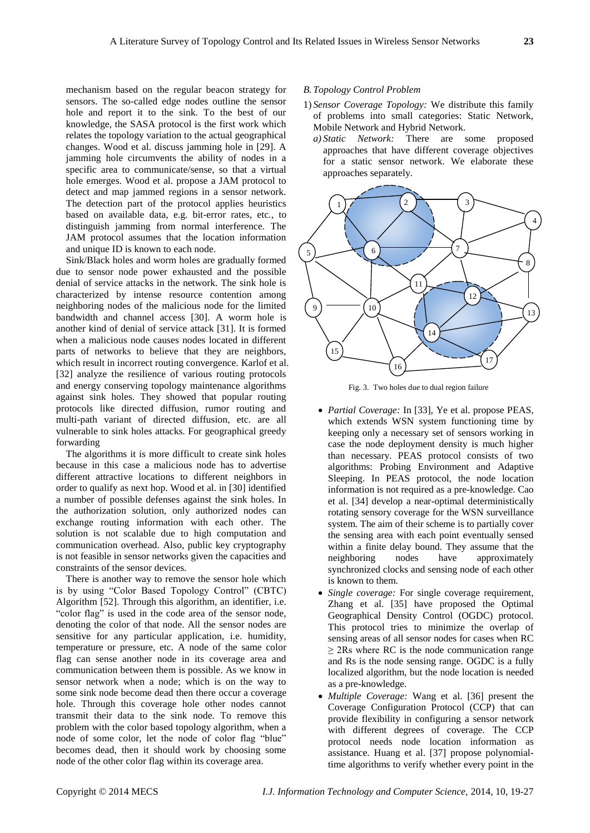mechanism based on the regular beacon strategy for sensors. The so-called edge nodes outline the sensor hole and report it to the sink. To the best of our knowledge, the SASA protocol is the first work which relates the topology variation to the actual geographical changes. Wood et al. discuss jamming hole in [29]. A jamming hole circumvents the ability of nodes in a specific area to communicate/sense, so that a virtual hole emerges. Wood et al. propose a JAM protocol to detect and map jammed regions in a sensor network. The detection part of the protocol applies heuristics based on available data, e.g. bit-error rates, etc., to distinguish jamming from normal interference. The JAM protocol assumes that the location information and unique ID is known to each node.

Sink/Black holes and worm holes are gradually formed due to sensor node power exhausted and the possible denial of service attacks in the network. The sink hole is characterized by intense resource contention among neighboring nodes of the malicious node for the limited bandwidth and channel access [30]. A worm hole is another kind of denial of service attack [31]. It is formed when a malicious node causes nodes located in different parts of networks to believe that they are neighbors, which result in incorrect routing convergence. Karlof et al. [32] analyze the resilience of various routing protocols and energy conserving topology maintenance algorithms against sink holes. They showed that popular routing protocols like directed diffusion, rumor routing and multi-path variant of directed diffusion, etc. are all vulnerable to sink holes attacks. For geographical greedy forwarding

The algorithms it is more difficult to create sink holes because in this case a malicious node has to advertise different attractive locations to different neighbors in order to qualify as next hop. Wood et al. in [30] identified a number of possible defenses against the sink holes. In the authorization solution, only authorized nodes can exchange routing information with each other. The solution is not scalable due to high computation and communication overhead. Also, public key cryptography is not feasible in sensor networks given the capacities and constraints of the sensor devices.

There is another way to remove the sensor hole which is by using "Color Based Topology Control" (CBTC) Algorithm [52]. Through this algorithm, an identifier, i.e. "color flag" is used in the code area of the sensor node, denoting the color of that node. All the sensor nodes are sensitive for any particular application, i.e. humidity, temperature or pressure, etc. A node of the same color flag can sense another node in its coverage area and communication between them is possible. As we know in sensor network when a node; which is on the way to some sink node become dead then there occur a coverage hole. Through this coverage hole other nodes cannot transmit their data to the sink node. To remove this problem with the color based topology algorithm, when a node of some color, let the node of color flag "blue" becomes dead, then it should work by choosing some node of the other color flag within its coverage area.

## *B.Topology Control Problem*

- 1) *Sensor Coverage Topology:* We distribute this family of problems into small categories: Static Network, Mobile Network and Hybrid Network.
	- *a) Static Network:* There are some proposed approaches that have different coverage objectives for a static sensor network. We elaborate these approaches separately.



Fig. 3. Two holes due to dual region failure

- *Partial Coverage:* In [33], Ye et al. propose PEAS, which extends WSN system functioning time by keeping only a necessary set of sensors working in case the node deployment density is much higher than necessary. PEAS protocol consists of two algorithms: Probing Environment and Adaptive Sleeping. In PEAS protocol, the node location information is not required as a pre-knowledge. Cao et al. [34] develop a near-optimal deterministically rotating sensory coverage for the WSN surveillance system. The aim of their scheme is to partially cover the sensing area with each point eventually sensed within a finite delay bound. They assume that the neighboring nodes have approximately synchronized clocks and sensing node of each other is known to them.
- *Single coverage:* For single coverage requirement, Zhang et al. [35] have proposed the Optimal Geographical Density Control (OGDC) protocol. This protocol tries to minimize the overlap of sensing areas of all sensor nodes for cases when RC ≥ 2Rs where RC is the node communication range and Rs is the node sensing range. OGDC is a fully localized algorithm, but the node location is needed as a pre-knowledge.
- *Multiple Coverage:* Wang et al. [36] present the Coverage Configuration Protocol (CCP) that can provide flexibility in configuring a sensor network with different degrees of coverage. The CCP protocol needs node location information as assistance. Huang et al. [37] propose polynomialtime algorithms to verify whether every point in the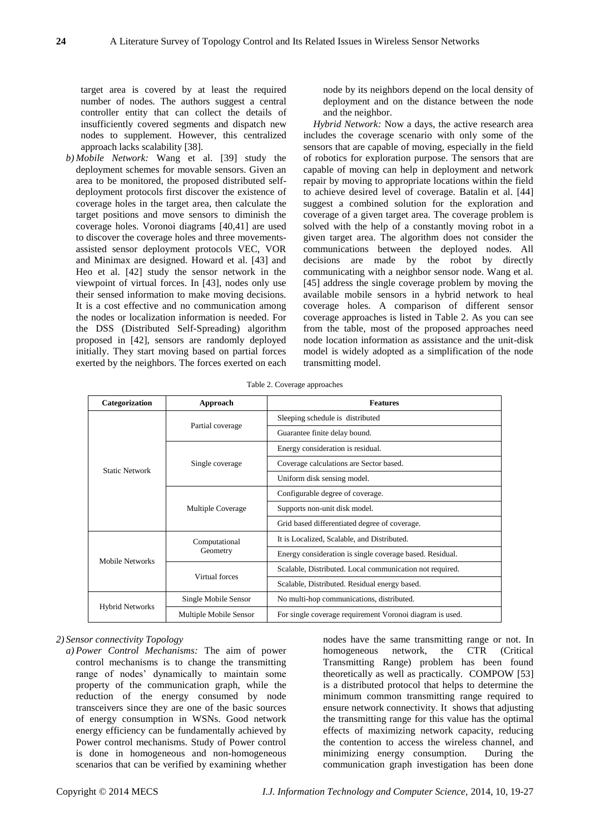target area is covered by at least the required number of nodes. The authors suggest a central controller entity that can collect the details of insufficiently covered segments and dispatch new nodes to supplement. However, this centralized approach lacks scalability [38].

*b) Mobile Network:* Wang et al. [39] study the deployment schemes for movable sensors. Given an area to be monitored, the proposed distributed selfdeployment protocols first discover the existence of coverage holes in the target area, then calculate the target positions and move sensors to diminish the coverage holes. Voronoi diagrams [40,41] are used to discover the coverage holes and three movementsassisted sensor deployment protocols VEC, VOR and Minimax are designed. Howard et al. [43] and Heo et al. [42] study the sensor network in the viewpoint of virtual forces. In [43], nodes only use their sensed information to make moving decisions. It is a cost effective and no communication among the nodes or localization information is needed. For the DSS (Distributed Self-Spreading) algorithm proposed in [42], sensors are randomly deployed initially. They start moving based on partial forces exerted by the neighbors. The forces exerted on each node by its neighbors depend on the local density of deployment and on the distance between the node and the neighbor.

*Hybrid Network:* Now a days, the active research area includes the coverage scenario with only some of the sensors that are capable of moving, especially in the field of robotics for exploration purpose. The sensors that are capable of moving can help in deployment and network repair by moving to appropriate locations within the field to achieve desired level of coverage. Batalin et al. [44] suggest a combined solution for the exploration and coverage of a given target area. The coverage problem is solved with the help of a constantly moving robot in a given target area. The algorithm does not consider the communications between the deployed nodes. All decisions are made by the robot by directly communicating with a neighbor sensor node. Wang et al. [45] address the single coverage problem by moving the available mobile sensors in a hybrid network to heal coverage holes. A comparison of different sensor coverage approaches is listed in Table 2. As you can see from the table, most of the proposed approaches need node location information as assistance and the unit-disk model is widely adopted as a simplification of the node transmitting model.

|  |  | Table 2. Coverage approaches |
|--|--|------------------------------|
|--|--|------------------------------|

| Categorization         | Approach               | <b>Features</b>                                          |  |  |
|------------------------|------------------------|----------------------------------------------------------|--|--|
| <b>Static Network</b>  |                        | Sleeping schedule is distributed                         |  |  |
|                        | Partial coverage       | Guarantee finite delay bound.                            |  |  |
|                        | Single coverage        | Energy consideration is residual.                        |  |  |
|                        |                        | Coverage calculations are Sector based.                  |  |  |
|                        |                        | Uniform disk sensing model.                              |  |  |
|                        | Multiple Coverage      | Configurable degree of coverage.                         |  |  |
|                        |                        | Supports non-unit disk model.                            |  |  |
|                        |                        | Grid based differentiated degree of coverage.            |  |  |
| Mobile Networks        | Computational          | It is Localized, Scalable, and Distributed.              |  |  |
|                        | Geometry               | Energy consideration is single coverage based. Residual. |  |  |
|                        | Virtual forces         | Scalable, Distributed. Local communication not required. |  |  |
|                        |                        | Scalable, Distributed. Residual energy based.            |  |  |
| <b>Hybrid Networks</b> | Single Mobile Sensor   | No multi-hop communications, distributed.                |  |  |
|                        | Multiple Mobile Sensor | For single coverage requirement Voronoi diagram is used. |  |  |

#### *2) Sensor connectivity Topology*

*a) Power Control Mechanisms:* The aim of power control mechanisms is to change the transmitting range of nodes' dynamically to maintain some property of the communication graph, while the reduction of the energy consumed by node transceivers since they are one of the basic sources of energy consumption in WSNs. Good network energy efficiency can be fundamentally achieved by Power control mechanisms. Study of Power control is done in homogeneous and non-homogeneous scenarios that can be verified by examining whether nodes have the same transmitting range or not. In homogeneous network, the CTR (Critical Transmitting Range) problem has been found theoretically as well as practically. COMPOW [53] is a distributed protocol that helps to determine the minimum common transmitting range required to ensure network connectivity. It shows that adjusting the transmitting range for this value has the optimal effects of maximizing network capacity, reducing the contention to access the wireless channel, and minimizing energy consumption. During the communication graph investigation has been done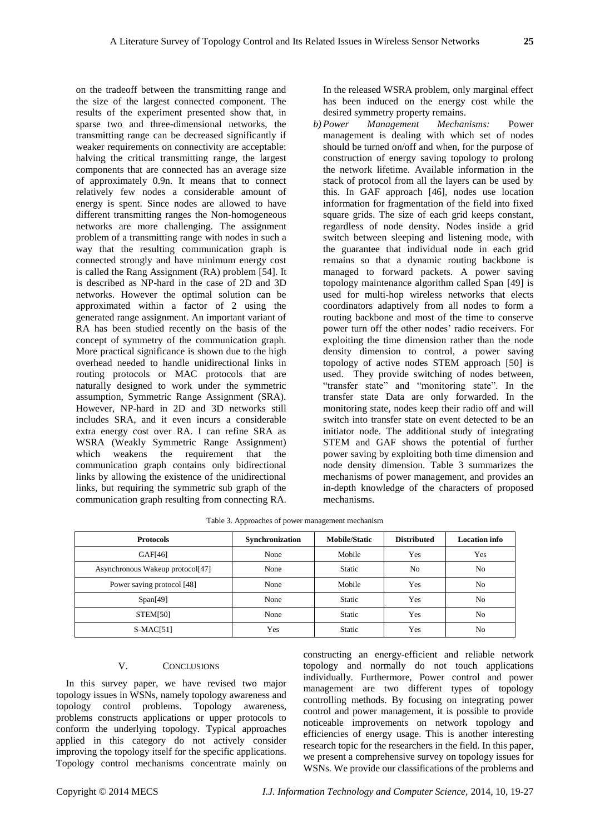on the tradeoff between the transmitting range and the size of the largest connected component. The results of the experiment presented show that, in sparse two and three-dimensional networks, the transmitting range can be decreased significantly if weaker requirements on connectivity are acceptable: halving the critical transmitting range, the largest components that are connected has an average size of approximately 0.9n. It means that to connect relatively few nodes a considerable amount of energy is spent. Since nodes are allowed to have different transmitting ranges the Non-homogeneous networks are more challenging. The assignment problem of a transmitting range with nodes in such a way that the resulting communication graph is connected strongly and have minimum energy cost is called the Rang Assignment (RA) problem [54]. It is described as NP-hard in the case of 2D and 3D networks. However the optimal solution can be approximated within a factor of 2 using the generated range assignment. An important variant of RA has been studied recently on the basis of the concept of symmetry of the communication graph. More practical significance is shown due to the high overhead needed to handle unidirectional links in routing protocols or MAC protocols that are naturally designed to work under the symmetric assumption, Symmetric Range Assignment (SRA). However, NP-hard in 2D and 3D networks still includes SRA, and it even incurs a considerable extra energy cost over RA. I can refine SRA as WSRA (Weakly Symmetric Range Assignment) which weakens the requirement that the communication graph contains only bidirectional links by allowing the existence of the unidirectional links, but requiring the symmetric sub graph of the communication graph resulting from connecting RA.

In the released WSRA problem, only marginal effect has been induced on the energy cost while the desired symmetry property remains.

*b) Power Management Mechanisms:* Power management is dealing with which set of nodes should be turned on/off and when, for the purpose of construction of energy saving topology to prolong the network lifetime. Available information in the stack of protocol from all the layers can be used by this. In GAF approach [46], nodes use location information for fragmentation of the field into fixed square grids. The size of each grid keeps constant, regardless of node density. Nodes inside a grid switch between sleeping and listening mode, with the guarantee that individual node in each grid remains so that a dynamic routing backbone is managed to forward packets. A power saving topology maintenance algorithm called Span [49] is used for multi-hop wireless networks that elects coordinators adaptively from all nodes to form a routing backbone and most of the time to conserve power turn off the other nodes' radio receivers. For exploiting the time dimension rather than the node density dimension to control, a power saving topology of active nodes STEM approach [50] is used. They provide switching of nodes between, "transfer state" and "monitoring state". In the transfer state Data are only forwarded. In the monitoring state, nodes keep their radio off and will switch into transfer state on event detected to be an initiator node. The additional study of integrating STEM and GAF shows the potential of further power saving by exploiting both time dimension and node density dimension. Table 3 summarizes the mechanisms of power management, and provides an in-depth knowledge of the characters of proposed mechanisms.

| <b>Protocols</b>                 | Synchronization | <b>Mobile/Static</b> | <b>Distributed</b> | Location info  |
|----------------------------------|-----------------|----------------------|--------------------|----------------|
| GAF[46]                          | None            | Mobile               | Yes                | Yes            |
| Asynchronous Wakeup protocol[47] | None            | <b>Static</b>        | N <sub>o</sub>     | N <sub>0</sub> |
| Power saving protocol [48]       | None            | Mobile               | Yes                | N <sub>0</sub> |
| Span[49]                         | None            | <b>Static</b>        | Yes                | N <sub>0</sub> |
| <b>STEM[50]</b>                  | None            | Static               | Yes                | N <sub>0</sub> |
| $S-MAC[51]$                      | Yes             | <b>Static</b>        | Yes                | N <sub>0</sub> |

Table 3. Approaches of power management mechanism

## V. CONCLUSIONS

In this survey paper, we have revised two major topology issues in WSNs, namely topology awareness and topology control problems. Topology awareness, problems constructs applications or upper protocols to conform the underlying topology. Typical approaches applied in this category do not actively consider improving the topology itself for the specific applications. Topology control mechanisms concentrate mainly on constructing an energy-efficient and reliable network topology and normally do not touch applications individually. Furthermore, Power control and power management are two different types of topology controlling methods. By focusing on integrating power control and power management, it is possible to provide noticeable improvements on network topology and efficiencies of energy usage. This is another interesting research topic for the researchers in the field. In this paper, we present a comprehensive survey on topology issues for WSNs. We provide our classifications of the problems and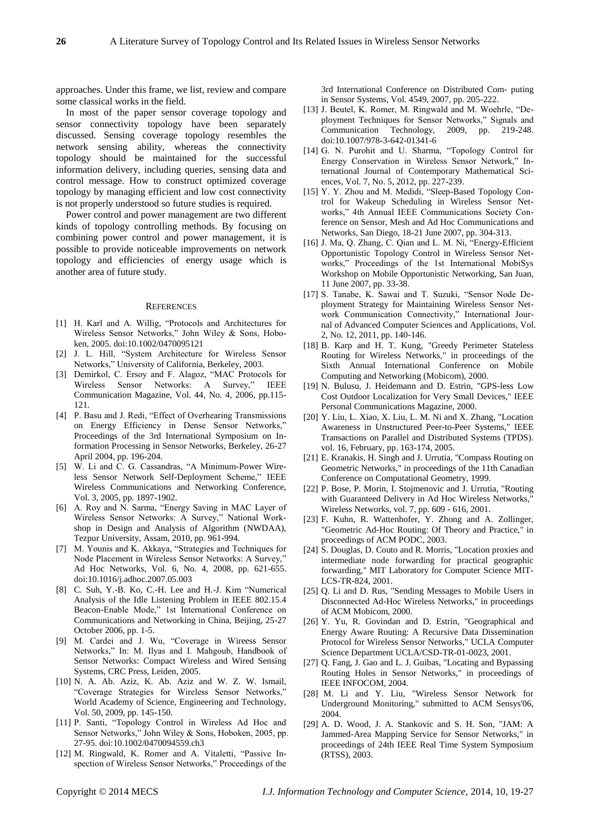approaches. Under this frame, we list, review and compare some classical works in the field.

In most of the paper sensor coverage topology and sensor connectivity topology have been separately discussed. Sensing coverage topology resembles the network sensing ability, whereas the connectivity topology should be maintained for the successful information delivery, including queries, sensing data and control message. How to construct optimized coverage topology by managing efficient and low cost connectivity is not properly understood so future studies is required.

Power control and power management are two different kinds of topology controlling methods. By focusing on combining power control and power management, it is possible to provide noticeable improvements on network topology and efficiencies of energy usage which is another area of future study.

#### **REFERENCES**

- [1] H. Karl and A. Willig, "Protocols and Architectures for Wireless Sensor Networks," John Wiley & Sons, Hoboken, 2005. doi:10.1002/0470095121
- [2] J. L. Hill, "System Architecture for Wireless Sensor Networks," University of California, Berkeley, 2003.
- [3] Demirkol, C. Ersoy and F. Alagoz, "MAC Protocols for Wireless Sensor Networks: A Survey," IEEE Communication Magazine, Vol. 44, No. 4, 2006, pp.115- 121.
- [4] P. Basu and J. Redi, "Effect of Overhearing Transmissions on Energy Efficiency in Dense Sensor Networks," Proceedings of the 3rd International Symposium on Information Processing in Sensor Networks, Berkeley, 26-27 April 2004, pp. 196-204.
- [5] W. Li and C. G. Cassandras, "A Minimum-Power Wireless Sensor Network Self-Deployment Scheme," IEEE Wireless Communications and Networking Conference, Vol. 3, 2005, pp. 1897-1902.
- [6] A. Roy and N. Sarma, "Energy Saving in MAC Layer of Wireless Sensor Networks: A Survey," National Workshop in Design and Analysis of Algorithm (NWDAA), Tezpur University, Assam, 2010, pp. 961-994.
- [7] M. Younis and K. Akkaya, "Strategies and Techniques for Node Placement in Wireless Sensor Networks: A Survey," Ad Hoc Networks, Vol. 6, No. 4, 2008, pp. 621-655. doi:10.1016/j.adhoc.2007.05.003
- [8] C. Suh, Y.-B. Ko, C.-H. Lee and H.-J. Kim "Numerical Analysis of the Idle Listening Problem in IEEE 802.15.4 Beacon-Enable Mode," 1st International Conference on Communications and Networking in China, Beijing, 25-27 October 2006, pp. 1-5.
- [9] M. Cardei and J. Wu, "Coverage in Wireess Sensor Networks," In: M. Ilyas and I. Mahgoub, Handbook of Sensor Networks: Compact Wireless and Wired Sensing Systems, CRC Press, Leiden, 2005.
- [10] N. A. Ab. Aziz, K. Ab. Aziz and W. Z. W. Ismail, "Coverage Strategies for Wireless Sensor Networks," World Academy of Science, Engineering and Technology, Vol. 50, 2009, pp. 145-150.
- [11] P. Santi, "Topology Control in Wireless Ad Hoc and Sensor Networks," John Wiley & Sons, Hoboken, 2005, pp. 27-95. doi:10.1002/0470094559.ch3
- [12] M. Ringwald, K. Romer and A. Vitaletti, "Passive Inspection of Wireless Sensor Networks," Proceedings of the

3rd International Conference on Distributed Com- puting in Sensor Systems, Vol. 4549, 2007, pp. 205-222.

- [13] J. Beutel, K. Romer, M. Ringwald and M. Woehrle, "Deployment Techniques for Sensor Networks," Signals and Communication Technology, 2009, pp. 219-248. doi:10.1007/978-3-642-01341-6
- [14] G. N. Purohit and U. Sharma, "Topology Control for Energy Conservation in Wireless Sensor Network," International Journal of Contemporary Mathematical Sciences, Vol. 7, No. 5, 2012, pp. 227-239.
- [15] Y. Y. Zhou and M. Medidi, "Sleep-Based Topology Control for Wakeup Scheduling in Wireless Sensor Networks," 4th Annual IEEE Communications Society Conference on Sensor, Mesh and Ad Hoc Communications and Networks, San Diego, 18-21 June 2007, pp. 304-313.
- [16] J. Ma, Q. Zhang, C. Qian and L. M. Ni, "Energy-Efficient Opportunistic Topology Control in Wireless Sensor Networks," Proceedings of the 1st International MobiSys Workshop on Mobile Opportunistic Networking, San Juan, 11 June 2007, pp. 33-38.
- [17] S. Tanabe, K. Sawai and T. Suzuki, "Sensor Node Deployment Strategy for Maintaining Wireless Sensor Network Communication Connectivity," International Journal of Advanced Computer Sciences and Applications, Vol. 2, No. 12, 2011, pp. 140-146.
- [18] B. Karp and H. T. Kung, "Greedy Perimeter Stateless Routing for Wireless Networks," in proceedings of the Sixth Annual International Conference on Mobile Computing and Networking (Mobicom), 2000.
- [19] N. Bulusu, J. Heidemann and D. Estrin, "GPS-less Low Cost Outdoor Localization for Very Small Devices," IEEE Personal Communications Magazine, 2000.
- [20] Y. Liu, L. Xiao, X. Liu, L. M. Ni and X. Zhang, "Location Awareness in Unstructured Peer-to-Peer Systems," IEEE Transactions on Parallel and Distributed Systems (TPDS). vol. 16, February, pp. 163-174, 2005.
- [21] E. Kranakis, H. Singh and J. Urrutia, "Compass Routing on Geometric Networks," in proceedings of the 11th Canadian Conference on Computational Geometry, 1999.
- [22] P. Bose, P. Morin, I. Stojmenovic and J. Urrutia, "Routing with Guaranteed Delivery in Ad Hoc Wireless Networks, Wireless Networks, vol. 7, pp. 609 - 616, 2001.
- [23] F. Kuhn, R. Wattenhofer, Y. Zhong and A. Zollinger, "Geometric Ad-Hoc Routing: Of Theory and Practice," in proceedings of ACM PODC, 2003.
- [24] S. Douglas, D. Couto and R. Morris, "Location proxies and intermediate node forwarding for practical geographic forwarding," MIT Laboratory for Computer Science MIT-LCS-TR-824, 2001.
- [25] O. Li and D. Rus, "Sending Messages to Mobile Users in Disconnected Ad-Hoc Wireless Networks," in proceedings of ACM Mobicom, 2000.
- [26] Y. Yu, R. Govindan and D. Estrin, "Geographical and Energy Aware Routing: A Recursive Data Dissemination Protocol for Wireless Sensor Networks," UCLA Computer Science Department UCLA/CSD-TR-01-0023, 2001.
- [27] Q. Fang, J. Gao and L. J. Guibas, "Locating and Bypassing Routing Holes in Sensor Networks," in proceedings of IEEE INFOCOM, 2004.
- [28] M. Li and Y. Liu, "Wireless Sensor Network for Underground Monitoring," submitted to ACM Sensys'06, 2004.
- [29] A. D. Wood, J. A. Stankovic and S. H. Son, "JAM: A Jammed-Area Mapping Service for Sensor Networks," in proceedings of 24th IEEE Real Time System Symposium (RTSS), 2003.